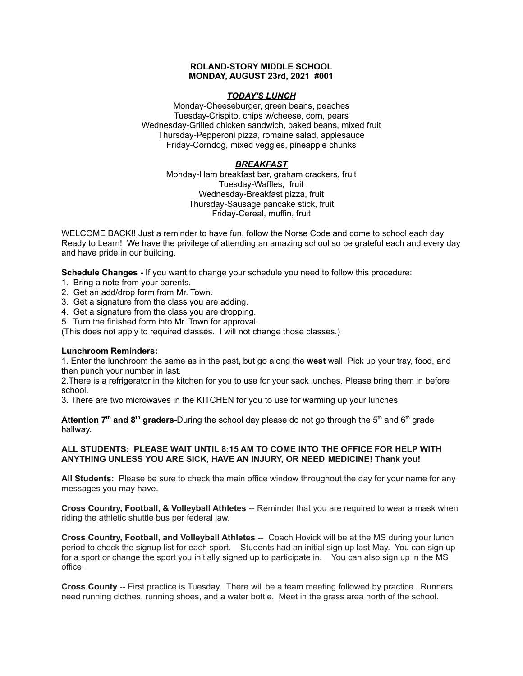### **ROLAND-STORY MIDDLE SCHOOL MONDAY, AUGUST 23rd, 2021 #001**

# *TODAY'S LUNCH*

Monday-Cheeseburger, green beans, peaches Tuesday-Crispito, chips w/cheese, corn, pears Wednesday-Grilled chicken sandwich, baked beans, mixed fruit Thursday-Pepperoni pizza, romaine salad, applesauce Friday-Corndog, mixed veggies, pineapple chunks

# *BREAKFAST*

Monday-Ham breakfast bar, graham crackers, fruit Tuesday-Waffles, fruit Wednesday-Breakfast pizza, fruit Thursday-Sausage pancake stick, fruit Friday-Cereal, muffin, fruit

WELCOME BACK!! Just a reminder to have fun, follow the Norse Code and come to school each day Ready to Learn! We have the privilege of attending an amazing school so be grateful each and every day and have pride in our building.

**Schedule Changes -** If you want to change your schedule you need to follow this procedure:

- 1. Bring a note from your parents.
- 2. Get an add/drop form from Mr. Town.
- 3. Get a signature from the class you are adding.
- 4. Get a signature from the class you are dropping.
- 5. Turn the finished form into Mr. Town for approval.

(This does not apply to required classes. I will not change those classes.)

# **Lunchroom Reminders:**

1. Enter the lunchroom the same as in the past, but go along the **west** wall. Pick up your tray, food, and then punch your number in last.

2.There is a refrigerator in the kitchen for you to use for your sack lunches. Please bring them in before school.

3. There are two microwaves in the KITCHEN for you to use for warming up your lunches.

**Attention 7<sup>th</sup> and 8<sup>th</sup> graders-During the school day please do not go through the 5<sup>th</sup> and 6<sup>th</sup> grade** hallway.

# **ALL STUDENTS: PLEASE WAIT UNTIL 8:15 AM TO COME INTO THE OFFICE FOR HELP WITH ANYTHING UNLESS YOU ARE SICK, HAVE AN INJURY, OR NEED MEDICINE! Thank you!**

**All Students:** Please be sure to check the main office window throughout the day for your name for any messages you may have.

**Cross Country, Football, & Volleyball Athletes** -- Reminder that you are required to wear a mask when riding the athletic shuttle bus per federal law.

**Cross Country, Football, and Volleyball Athletes** -- Coach Hovick will be at the MS during your lunch period to check the signup list for each sport. Students had an initial sign up last May. You can sign up for a sport or change the sport you initially signed up to participate in. You can also sign up in the MS office.

**Cross County** -- First practice is Tuesday. There will be a team meeting followed by practice. Runners need running clothes, running shoes, and a water bottle. Meet in the grass area north of the school.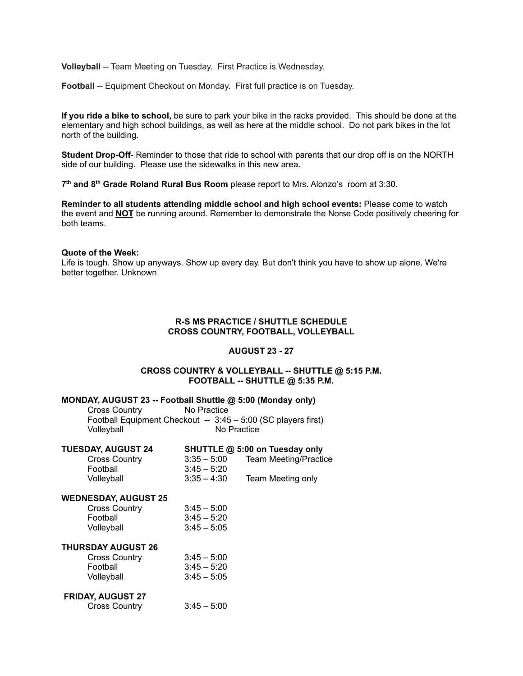**Volleyball** -- Team Meeting on Tuesday. First Practice is Wednesday.

**Football** -- Equipment Checkout on Monday. First full practice is on Tuesday.

**If you ride a bike to school,** be sure to park your bike in the racks provided. This should be done at the elementary and high school buildings, as well as here at the middle school. Do not park bikes in the lot north of the building.

**Student Drop-Off**- Reminder to those that ride to school with parents that our drop off is on the NORTH side of our building. Please use the sidewalks in this new area.

**7 th and 8 th Grade Roland Rural Bus Room** please report to Mrs. Alonzo's room at 3:30.

**Reminder to all students attending middle school and high school events:** Please come to watch the event and **NOT** be running around. Remember to demonstrate the Norse Code positively cheering for both teams.

### **Quote of the Week:**

Life is tough. Show up anyways. Show up every day. But don't think you have to show up alone. We're better together. Unknown

# **R-S MS PRACTICE / SHUTTLE SCHEDULE CROSS COUNTRY, FOOTBALL, VOLLEYBALL**

#### **AUGUST 23 - 27**

# **CROSS COUNTRY & VOLLEYBALL -- SHUTTLE @ 5:15 P.M. FOOTBALL -- SHUTTLE @ 5:35 P.M.**

#### **MONDAY, AUGUST 23 -- Football Shuttle @ 5:00 (Monday only)**

| <b>Cross Country</b> | No Practice |                                                               |  |
|----------------------|-------------|---------------------------------------------------------------|--|
|                      |             | Football Equipment Checkout -- 3:45 - 5:00 (SC players first) |  |
| Volleyball           |             | No Practice                                                   |  |

| <b>TUESDAY, AUGUST 24</b>   | SHUTTLE @ 5:00 on Tuesday only |                              |  |  |  |
|-----------------------------|--------------------------------|------------------------------|--|--|--|
| <b>Cross Country</b>        | $3:35 - 5:00$                  | <b>Team Meeting/Practice</b> |  |  |  |
| Football                    | $3:45 - 5:20$                  |                              |  |  |  |
| Volleyball                  | $3:35 - 4:30$                  | Team Meeting only            |  |  |  |
| <b>WEDNESDAY, AUGUST 25</b> |                                |                              |  |  |  |
| <b>Cross Country</b>        | $3:45 - 5:00$                  |                              |  |  |  |
| Football                    | $3:45 - 5:20$                  |                              |  |  |  |
| Volleyball                  | $3:45 - 5:05$                  |                              |  |  |  |
| <b>THURSDAY AUGUST 26</b>   |                                |                              |  |  |  |
| <b>Cross Country</b>        | $3:45 - 5:00$                  |                              |  |  |  |
| Football                    | $3:45 - 5:20$                  |                              |  |  |  |
| Volleyball                  | $3:45 - 5:05$                  |                              |  |  |  |
| <b>FRIDAY, AUGUST 27</b>    |                                |                              |  |  |  |
| <b>Cross Country</b>        | $3:45 - 5:00$                  |                              |  |  |  |